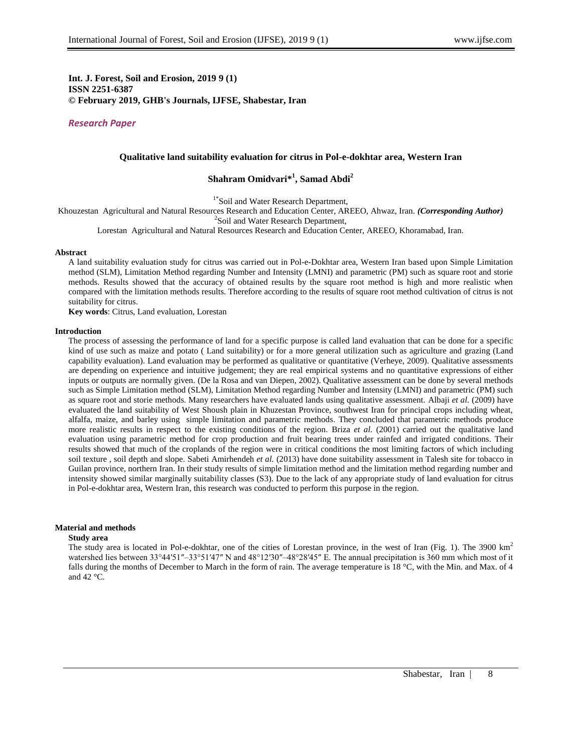**Int. J. Forest, Soil and Erosion, 2019 9 (1) ISSN 2251-6387 © February 2019, GHB's Journals, IJFSE, Shabestar, Iran**

*Research Paper*

# **Qualitative land suitability evaluation for citrus in Pol-e-dokhtar area, Western Iran**

# **Shahram Omidvari\* 1 , Samad Abdi<sup>2</sup>**

<sup>1\*</sup>Soil and Water Research Department,

Khouzestan Agricultural and Natural Resources Research and Education Center, AREEO, Ahwaz, Iran. *(Corresponding Author)*

<sup>2</sup>Soil and Water Research Department,

Lorestan Agricultural and Natural Resources Research and Education Center, AREEO, Khoramabad, Iran.

#### **Abstract**

A land suitability evaluation study for citrus was carried out in Pol-e-Dokhtar area, Western Iran based upon Simple Limitation method (SLM), Limitation Method regarding Number and Intensity (LMNI) and parametric (PM) such as square root and storie methods. Results showed that the accuracy of obtained results by the square root method is high and more realistic when compared with the limitation methods results. Therefore according to the results of square root method cultivation of citrus is not suitability for citrus.

**Key words**: Citrus, Land evaluation, Lorestan

#### **Introduction**

The process of assessing the performance of land for a specific purpose is called land evaluation that can be done for a specific kind of use such as maize and potato ( Land suitability) or for a more general utilization such as agriculture and grazing (Land capability evaluation). Land evaluation may be performed as qualitative or quantitative (Verheye, 2009). Qualitative assessments are depending on experience and intuitive judgement; they are real empirical systems and no quantitative expressions of either inputs or outputs are normally given. (De la Rosa and van Diepen, 2002). Qualitative assessment can be done by several methods such as Simple Limitation method (SLM), Limitation Method regarding Number and Intensity (LMNI) and parametric (PM) such as square root and storie methods. Many researchers have evaluated lands using qualitative assessment. Albaji *et al.* (2009) have evaluated the land suitability of West Shoush plain in Khuzestan Province, southwest Iran for principal crops including wheat, alfalfa, maize, and barley using simple limitation and parametric methods. They concluded that parametric methods produce more realistic results in respect to the existing conditions of the region. Briza *et al.* (2001) carried out the qualitative land evaluation using parametric method for crop production and fruit bearing trees under rainfed and irrigated conditions. Their results showed that much of the croplands of the region were in critical conditions the most limiting factors of which including soil texture , soil depth and slope. Sabeti Amirhendeh *et al.* (2013) have done suitability assessment in Talesh site for tobacco in Guilan province, northern Iran. In their study results of simple limitation method and the limitation method regarding number and intensity showed similar marginally suitability classes (S3). Due to the lack of any appropriate study of land evaluation for citrus in Pol-e-dokhtar area, Western Iran, this research was conducted to perform this purpose in the region.

# **Material and methods**

#### **Study area**

The study area is located in Pol-e-dokhtar, one of the cities of Lorestan province, in the west of Iran (Fig. 1). The 3900 km<sup>2</sup> watershed lies between 33°44′51″–33°51′47″ N and 48°12′30″–48°28′45″ E. The annual precipitation is 360 mm which most of it falls during the months of December to March in the form of rain. The average temperature is 18 °C, with the Min. and Max. of 4 and 42 $\degree$ C.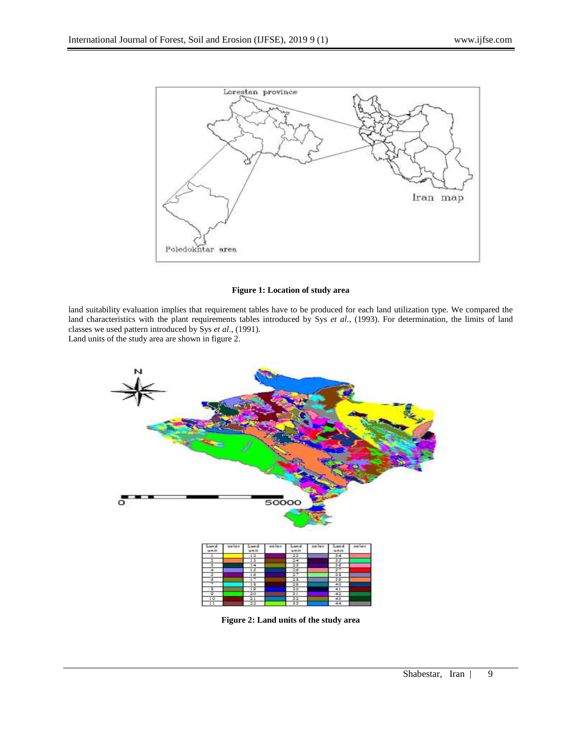

# **Figure 1: Location of study area**

land suitability evaluation implies that requirement tables have to be produced for each land utilization type. We compared the land characteristics with the plant requirements tables introduced by Sys *et al*., (1993). For determination, the limits of land classes we used pattern introduced by Sys *et al*., (1991).

Land units of the study area are shown in figure 2.



**Figure 2: Land units of the study area**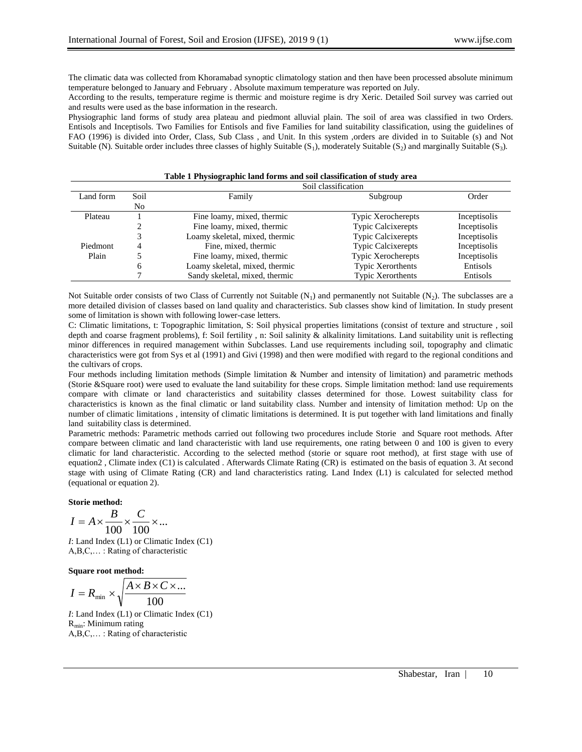The climatic data was collected from Khoramabad synoptic climatology station and then have been processed absolute minimum temperature belonged to January and February . Absolute maximum temperature was reported on July.

According to the results, temperature regime is thermic and moisture regime is dry Xeric. Detailed Soil survey was carried out and results were used as the base information in the research.

Physiographic land forms of study area plateau and piedmont alluvial plain. The soil of area was classified in two Orders. Entisols and Inceptisols. Two Families for Entisols and five Families for land suitability classification, using the guidelines of FAO (1996) is divided into Order, Class, Sub Class , and Unit. In this system ,orders are divided in to Suitable (s) and Not Suitable (N). Suitable order includes three classes of highly Suitable  $(S_1)$ , moderately Suitable  $(S_2)$  and marginally Suitable  $(S_3)$ .

# **Table 1 Physiographic land forms and soil classification of study area**

|           | Soil classification |                                |                           |              |  |  |
|-----------|---------------------|--------------------------------|---------------------------|--------------|--|--|
| Land form | Soil                | Family                         | Subgroup                  | Order        |  |  |
|           | No                  |                                |                           |              |  |  |
| Plateau   |                     | Fine loamy, mixed, thermic     | <b>Typic Xerocherepts</b> | Inceptisolis |  |  |
|           |                     | Fine loamy, mixed, thermic     | <b>Typic Calcixerepts</b> | Inceptisolis |  |  |
|           |                     | Loamy skeletal, mixed, thermic | <b>Typic Calcixerepts</b> | Inceptisolis |  |  |
| Piedmont  |                     | Fine, mixed, thermic           | <b>Typic Calcixerepts</b> | Inceptisolis |  |  |
| Plain     |                     | Fine loamy, mixed, thermic     | <b>Typic Xerocherepts</b> | Inceptisolis |  |  |
|           | 6                   | Loamy skeletal, mixed, thermic | <b>Typic Xerorthents</b>  | Entisols     |  |  |
|           |                     | Sandy skeletal, mixed, thermic | <b>Typic Xerorthents</b>  | Entisols     |  |  |

Not Suitable order consists of two Class of Currently not Suitable  $(N_1)$  and permanently not Suitable  $(N_2)$ . The subclasses are a more detailed division of classes based on land quality and characteristics. Sub classes show kind of limitation. In study present some of limitation is shown with following lower-case letters.

C: Climatic limitations, t: Topographic limitation, S: Soil physical properties limitations (consist of texture and structure , soil depth and coarse fragment problems), f: Soil fertility , n: Soil salinity & alkalinity limitations. Land suitability unit is reflecting minor differences in required management within Subclasses. Land use requirements including soil, topography and climatic characteristics were got from Sys et al (1991) and Givi (1998) and then were modified with regard to the regional conditions and the cultivars of crops.

Four methods including limitation methods (Simple limitation & Number and intensity of limitation) and parametric methods (Storie &Square root) were used to evaluate the land suitability for these crops. Simple limitation method: land use requirements compare with climate or land characteristics and suitability classes determined for those. Lowest suitability class for characteristics is known as the final climatic or land suitability class. Number and intensity of limitation method: Up on the number of climatic limitations , intensity of climatic limitations is determined. It is put together with land limitations and finally land suitability class is determined.

Parametric methods: Parametric methods carried out following two procedures include Storie and Square root methods. After compare between climatic and land characteristic with land use requirements, one rating between 0 and 100 is given to every climatic for land characteristic. According to the selected method (storie or square root method), at first stage with use of equation2 , Climate index (C1) is calculated . Afterwards Climate Rating (CR) is estimated on the basis of equation 3. At second stage with using of Climate Rating (CR) and land characteristics rating. Land Index (L1) is calculated for selected method (equational or equation 2).

## **Storie method:**

$$
I = A \times \frac{B}{100} \times \frac{C}{100} \times \dots
$$

*I*: Land Index (L1) or Climatic Index (C1) A,B,C,… : Rating of characteristic

**Square root method:**

$$
I = R_{\min} \times \sqrt{\frac{A \times B \times C \times \dots}{100}}
$$

*I*: Land Index (L1) or Climatic Index (C1)  $R_{\text{min}}$ : Minimum rating A,B,C,… : Rating of characteristic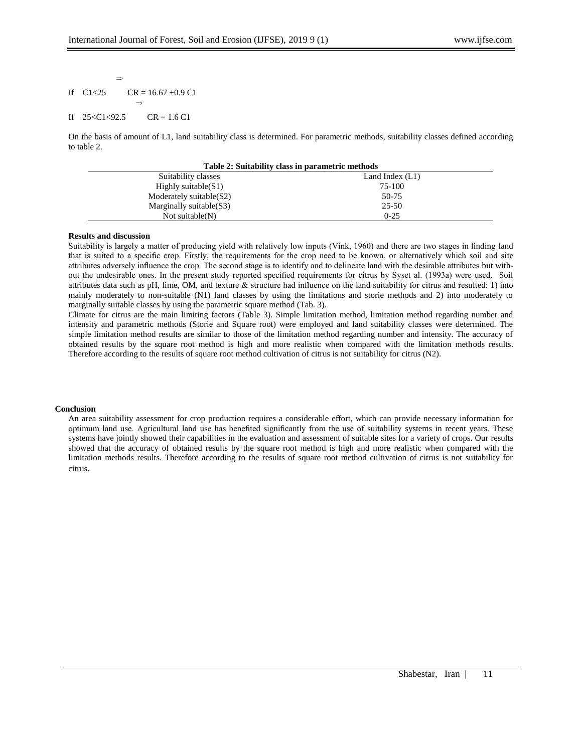#### If  $C1 < 25$  $CR = 16.67 + 0.9 C1$  $\Rightarrow$

 $\Rightarrow$ 

#### If 25<C1<92.5  $CR = 1.6 C1$

On the basis of amount of L1, land suitability class is determined. For parametric methods, suitability classes defined according to table 2.

| Table 2: Suitability class in parametric methods |                   |  |  |  |
|--------------------------------------------------|-------------------|--|--|--|
| Suitability classes                              | Land Index $(L1)$ |  |  |  |
| Highly suitable $(S1)$                           | 75-100            |  |  |  |
| Moderately suitable $(S2)$                       | 50-75             |  |  |  |
| Marginally suitable $(S3)$                       | 25-50             |  |  |  |
| Not suitable $(N)$                               | $0 - 25$          |  |  |  |

## **Results and discussion**

Suitability is largely a matter of producing yield with relatively low inputs (Vink, 1960) and there are two stages in finding land that is suited to a specific crop. Firstly, the requirements for the crop need to be known, or alternatively which soil and site attributes adversely influence the crop. The second stage is to identify and to delineate land with the desirable attributes but without the undesirable ones. In the present study reported specified requirements for citrus by Syset al. (1993a) were used. Soil attributes data such as pH, lime, OM, and texture & structure had influence on the land suitability for citrus and resulted: 1) into mainly moderately to non-suitable (N1) land classes by using the limitations and storie methods and 2) into moderately to marginally suitable classes by using the parametric square method (Tab. 3).

Climate for citrus are the main limiting factors (Table 3). Simple limitation method, limitation method regarding number and intensity and parametric methods (Storie and Square root) were employed and land suitability classes were determined. The simple limitation method results are similar to those of the limitation method regarding number and intensity. The accuracy of obtained results by the square root method is high and more realistic when compared with the limitation methods results. Therefore according to the results of square root method cultivation of citrus is not suitability for citrus (N2).

# **Conclusion**

An area suitability assessment for crop production requires a considerable effort, which can provide necessary information for optimum land use. Agricultural land use has benefited significantly from the use of suitability systems in recent years. These systems have jointly showed their capabilities in the evaluation and assessment of suitable sites for a variety of crops. Our results showed that the accuracy of obtained results by the square root method is high and more realistic when compared with the limitation methods results. Therefore according to the results of square root method cultivation of citrus is not suitability for citrus.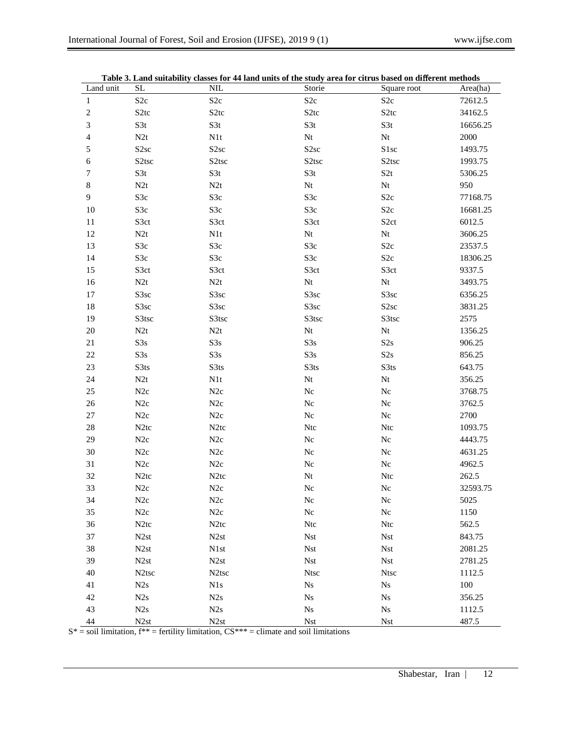|                             |                    | Table 5. Land suitability classes for 44 land units of the study area for citrus based on different methods |                    |                    |          |
|-----------------------------|--------------------|-------------------------------------------------------------------------------------------------------------|--------------------|--------------------|----------|
| Land unit                   | <b>SL</b>          | <b>NIL</b>                                                                                                  | Storie             | Square root        | Area(ha) |
| $\mathbf{1}$                | S <sub>2c</sub>    | S <sub>2c</sub>                                                                                             | S <sub>2c</sub>    | S <sub>2c</sub>    | 72612.5  |
| $\sqrt{2}$                  | S <sub>2</sub> tc  | S <sub>2</sub> tc                                                                                           | S <sub>2</sub> tc  | S <sub>2</sub> tc  | 34162.5  |
| $\ensuremath{\mathfrak{Z}}$ | S3t                | S3t                                                                                                         | S3t                | S3t                | 16656.25 |
| $\overline{4}$              | N2t                | N1t                                                                                                         | Nt                 | Nt                 | 2000     |
| 5                           | S <sub>2sc</sub>   | S <sub>2sc</sub>                                                                                            | S <sub>2sc</sub>   | S1sc               | 1493.75  |
| 6                           | S <sub>2</sub> tsc | S <sub>2</sub> tsc                                                                                          | S <sub>2</sub> tsc | S <sub>2</sub> tsc | 1993.75  |
| 7                           | S3t                | S3t                                                                                                         | S3t                | S2t                | 5306.25  |
| $\,$ 8 $\,$                 | N2t                | N2t                                                                                                         | Nt                 | Nt                 | 950      |
| 9                           | S3c                | S3c                                                                                                         | S3c                | S <sub>2c</sub>    | 77168.75 |
| 10                          | S3c                | S3c                                                                                                         | S3c                | $S2c$              | 16681.25 |
| 11                          | S3ct               | S3ct                                                                                                        | S3ct               | S <sub>2</sub> ct  | 6012.5   |
| 12                          | N2t                | N1t                                                                                                         | Nt                 | Nt                 | 3606.25  |
| 13                          | S3c                | S3c                                                                                                         | S3c                | S <sub>2c</sub>    | 23537.5  |
| 14                          | S3c                | S3c                                                                                                         | S3c                | S <sub>2c</sub>    | 18306.25 |
| 15                          | S3ct               | S3ct                                                                                                        | S3ct               | S3ct               | 9337.5   |
| 16                          | N2t                | N2t                                                                                                         | Nt                 | Nt                 | 3493.75  |
| 17                          | S3sc               | S3sc                                                                                                        | S3sc               | S3sc               | 6356.25  |
| 18                          | S3sc               | S3sc                                                                                                        | S3sc               | S <sub>2sc</sub>   | 3831.25  |
| 19                          | S3tsc              | S3tsc                                                                                                       | S3tsc              | S3tsc              | 2575     |
| $20\,$                      | N2t                | N2t                                                                                                         | Nt                 | Nt                 | 1356.25  |
| $21\,$                      | S3s                | S3s                                                                                                         | S3s                | S2s                | 906.25   |
| $22\,$                      | S3s                | S3s                                                                                                         | S3s                | S2s                | 856.25   |
| 23                          | S3ts               | S3ts                                                                                                        | S3ts               | S3ts               | 643.75   |
| 24                          | N2t                | N1t                                                                                                         | Nt                 | Nt                 | 356.25   |
| 25                          | N2c                | N2c                                                                                                         | Nc                 | $\rm{N}c$          | 3768.75  |
| $26\,$                      | N2c                | N2c                                                                                                         | Nc                 | $\rm{N}c$          | 3762.5   |
| 27                          | N2c                | N2c                                                                                                         | Nc                 | Nc                 | 2700     |
| $28\,$                      | N <sub>2</sub> tc  | N <sub>2</sub> tc                                                                                           | <b>Ntc</b>         | Ntc                | 1093.75  |
| 29                          | N2c                | N2c                                                                                                         | Nc                 | ${\rm Nc}$         | 4443.75  |
| $30\,$                      | N2c                | N2c                                                                                                         | Nc                 | $\rm{N}c$          | 4631.25  |
| 31                          | N2c                | N2c                                                                                                         | Nc                 | ${\rm Nc}$         | 4962.5   |
| 32                          | N <sub>2</sub> tc  | N <sub>2</sub> tc                                                                                           | Nt                 | Ntc                | 262.5    |
| 33                          | N2c                | N2c                                                                                                         | ${\rm Nc}$         | $\rm{N}c$          | 32593.75 |
| 34                          | N2c                | N2c                                                                                                         | Nc                 | ${\rm Nc}$         | 5025     |
| 35                          | N2c                | N2c                                                                                                         | $\rm{N}c$          | $\rm{N}c$          | 1150     |
| 36                          | N <sub>2</sub> tc  | N <sub>2</sub> tc                                                                                           | Ntc                | Ntc                | 562.5    |
| $37\,$                      | N <sub>2st</sub>   | N <sub>2st</sub>                                                                                            | <b>Nst</b>         | <b>Nst</b>         | 843.75   |
| $38\,$                      | N <sub>2st</sub>   | N1st                                                                                                        | <b>Nst</b>         | <b>Nst</b>         | 2081.25  |
| 39                          | N <sub>2st</sub>   | N <sub>2st</sub>                                                                                            | <b>Nst</b>         | <b>Nst</b>         | 2781.25  |
| 40                          | N <sub>2</sub> tsc | N <sub>2</sub> tsc                                                                                          | <b>Ntsc</b>        | <b>Ntsc</b>        | 1112.5   |
| 41                          | N2s                | N1s                                                                                                         | $\mathrm{Ns}$      | $\mathrm{Ns}$      | 100      |
| 42                          | N2s                | N2s                                                                                                         | $\mathrm{Ns}$      | $\mathrm{Ns}$      | 356.25   |
| 43                          | N2s                | N2s                                                                                                         | $\mathrm{Ns}$      | $\mathrm{Ns}$      | 1112.5   |
| $44\,$                      | N <sub>2st</sub>   | N <sub>2st</sub>                                                                                            | <b>Nst</b>         | <b>Nst</b>         | 487.5    |

|  |  |  | Table 3. Land suitability classes for 44 land units of the study area for citrus based on different methods |
|--|--|--|-------------------------------------------------------------------------------------------------------------|
|--|--|--|-------------------------------------------------------------------------------------------------------------|

 $S^* =$  soil limitation,  $f^{**} =$  fertility limitation,  $CS^{***} =$  climate and soil limitations